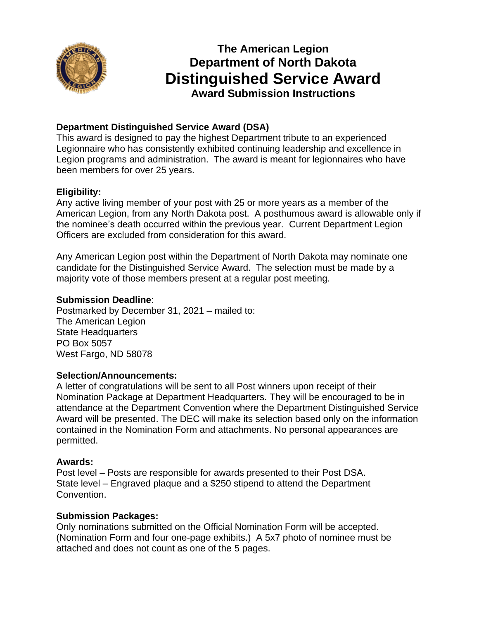

# **The American Legion Department of North Dakota Distinguished Service Award Award Submission Instructions**

# **Department Distinguished Service Award (DSA)**

This award is designed to pay the highest Department tribute to an experienced Legionnaire who has consistently exhibited continuing leadership and excellence in Legion programs and administration. The award is meant for legionnaires who have been members for over 25 years.

# **Eligibility:**

Any active living member of your post with 25 or more years as a member of the American Legion, from any North Dakota post. A posthumous award is allowable only if the nominee's death occurred within the previous year. Current Department Legion Officers are excluded from consideration for this award.

Any American Legion post within the Department of North Dakota may nominate one candidate for the Distinguished Service Award. The selection must be made by a majority vote of those members present at a regular post meeting.

### **Submission Deadline**:

Postmarked by December 31, 2021 – mailed to: The American Legion State Headquarters PO Box 5057 West Fargo, ND 58078

#### **Selection/Announcements:**

A letter of congratulations will be sent to all Post winners upon receipt of their Nomination Package at Department Headquarters. They will be encouraged to be in attendance at the Department Convention where the Department Distinguished Service Award will be presented. The DEC will make its selection based only on the information contained in the Nomination Form and attachments. No personal appearances are permitted.

## **Awards:**

Post level – Posts are responsible for awards presented to their Post DSA. State level – Engraved plaque and a \$250 stipend to attend the Department Convention.

## **Submission Packages:**

Only nominations submitted on the Official Nomination Form will be accepted. (Nomination Form and four one-page exhibits.) A 5x7 photo of nominee must be attached and does not count as one of the 5 pages.